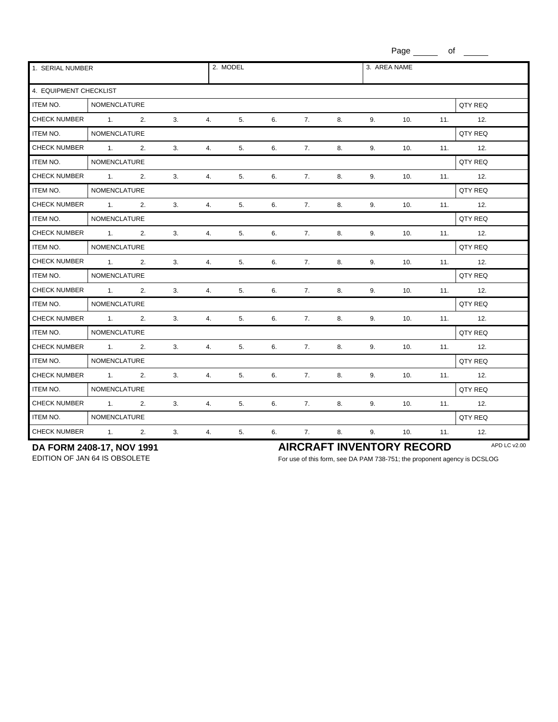Page  $\_\_$  of  $\_$ 1. SERIAL NUMBER 2. MODEL 3. AREA NAME 4. EQUIPMENT CHECKLIST ITEM NO. NOMENCLATURE NEXT REQUIRE A LOCAL CONTRACT ON A LOCAL CONTRACT OF A LOCAL CONTRACT OF A LOCAL CONTRACT OF A LOCAL CONTRACT OF A LOCAL CONTRACT OF A LOCAL CONTRACT OF A LOCAL CONTRACT OF A LOCAL CONTRACT OF A LOCAL CHECK NUMBER 1. 2. 3. 4. 5. 6. 7. 8. 9. 10. 11. 12. ITEM NO. NOMENCLATURE NAME REQUIRE A SERVICE SERVICE SERVICE SERVICE SERVICE SERVICE SERVICE SERVICE SERVICE S CHECK NUMBER 1. 2. 3. 4. 5. 6. 7. 8. 9. 10. 11. 12. ITEM NO. NOMENCLATURE QTY REQ CHECK NUMBER 1. 2. 3. 4. 5. 6. 7. 8. 9. 10. 11. 12. ITEM NO. NOMENCLATURE NATURE AND THE SERVICE SERVICE SERVICE SERVICE SERVICE SERVICE SERVICE SERVICE SERVICE SERVICE SERVICE SERVICE SERVICE SERVICE SERVICE SERVICE SERVICE SERVICE SERVICE SERVICE SERVICE SERVICE SERVICE S CHECK NUMBER 1. 2. 3. 4. 5. 6. 7. 8. 9. 10. 11. 12. ITEM NO. NOMENCLATURE NEWSLET AND REQUIRE A SERVICE OF STATE OF A SERVICE OF STATE OF A SERVICE OF STATE OF A S CHECK NUMBER 1. 2. 3. 4. 5. 6. 7. 8. 9. 10. 11. 12. ITEM NO. NOMENCLATURE **NO.** NOMENCLATURE **QTY REQ** CHECK NUMBER 1. 2. 3. 4. 5. 6. 7. 8. 9. 10. 11. 12. ITEM NO. NOMENCLATURE **NO.** NOMENCLATURE **QTY REQ** CHECK NUMBER 1. 2. 3. 4. 5. 6. 7. 8. 9. 10. 11. 12. ITEM NO. NOMENCLATURE NEWSLET AND REQUIRE A SERVICE OF STATE OF A SERVICE OF STATE OF A SERVICE OF STATE OF A S CHECK NUMBER 1. 2. 3. 4. 5. 6. 7. 8. 9. 10. 11. 12. ITEM NO. NOMENCLATURE NATURE AND THE SERVICE SERVICES IN THE SERVICE OF A SERVICE OF A SERVICE OF A SERVICE OF A SERVICE OF A SERVICE OF A SERVICE OF A SERVICE OF A SERVICE OF A SERVICE OF A SERVICE OF A SERVICE OF A SERVI CHECK NUMBER 1. 2. 3. 4. 5. 6. 7. 8. 9. 10. 11. 12. ITEM NO. NOMENCLATURE **NO.** NOMENCLATURE QTY REQ CHECK NUMBER 1. 2. 3. 4. 5. 6. 7. 8. 9. 10. 11. 12. ITEM NO. NOMENCLATURE NATURE AND THE SERVICE SERVICE SERVICE SERVICE SERVICE SERVICE SERVICE SERVICE SERVICE SERVICE SERVICE SERVICE SERVICE SERVICE SERVICE SERVICE SERVICE SERVICE SERVICE SERVICE SERVICE SERVICE SERVICE S CHECK NUMBER 1. 2. 3. 4. 5. 6. 7. 8. 9. 10. 11. 12. ITEM NO. NOMENCLATURE NEXT REQUIRE A CONSTRUCTIVE OF A CONSTRUCTIVE OF A CONSTRUCTIVE OF A CONSTRUCTIVE OF A CONSTRUCTIVE OF A CONSTRUCTIVE OF A CONSTRUCTIVE OF A CONSTRUCTIVE OF A CONSTRUCTIVE OF A CONSTRUCTIVE OF A CONST CHECK NUMBER 1. 2. 3. 4. 5. 6. 7. 8. 9. 10. 11. 12.

**DA FORM 2408-17, NOV 1991**<br> **AIRCRAFT INVENTORY RECORD** APD LC V2.00<br>
For use of this form, see DA PAM 738-751: the proponent agency is DCSLOG

For use of this form, see DA PAM 738-751; the proponent agency is DCSLOG